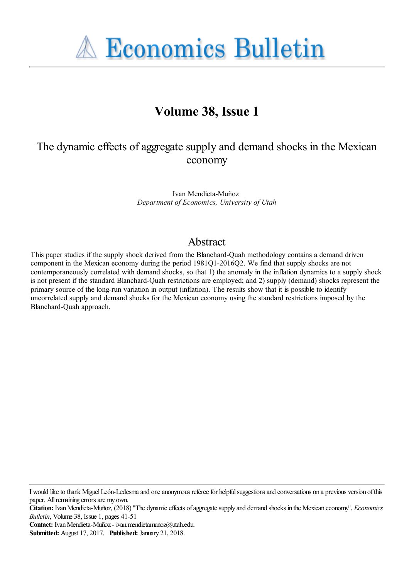**A Economics Bulletin** 

## **Volume 38, Issue 1**

### The dynamic effects of aggregate supply and demand shocks in the Mexican economy

Ivan Mendieta-Muñoz *Department of Economics, University of Utah*

#### Abstract

This paper studies if the supply shock derived from the Blanchard-Quah methodology contains a demand driven component in the Mexican economy during the period 1981Q1-2016Q2. We find that supply shocks are not contemporaneously correlated with demand shocks, so that 1) the anomaly in the inflation dynamics to a supply shock is not present if the standard Blanchard-Quah restrictions are employed; and 2) supply (demand) shocks represent the primary source of the long-run variation in output (inflation). The results show that it is possible to identify uncorrelated supply and demand shocks for the Mexican economy using the standard restrictions imposed by the Blanchard-Quah approach.

I would like to thank Miguel León-Ledesma and one anonymous referee for helpful suggestions and conversations on a previous version of this paper. All remaining errors are my own.

**Citation:** Ivan Mendieta-Muñoz, (2018) ''The dynamic effects of aggregate supply and demand shocks in the Mexican economy'', *Economics Bulletin*, Volume 38, Issue 1, pages 41-51

**Contact:** Ivan Mendieta-Muñoz - ivan.mendietamunoz@utah.edu.

**Submitted:** August 17, 2017. **Published:** January 21, 2018.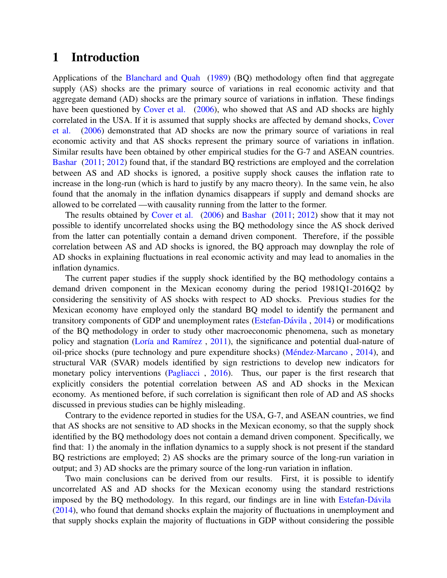#### <span id="page-1-0"></span>1 Introduction

Applications of the [Blanchard and Quah](#page-9-0) [\(1989\)](#page-9-0) (BQ) methodology often find that aggregate supply (AS) shocks are the primary source of variations in real economic activity and that aggregate demand (AD) shocks are the primary source of variations in inflation. These findings have been questioned by [Cover et al.](#page-9-1) [\(2006\)](#page-9-1), who showed that AS and AD shocks are highly correlated in the USA. If it is assumed that supply shocks are affected by demand shocks, [Cover](#page-9-1) [et al.](#page-9-1) [\(2006\)](#page-9-1) demonstrated that AD shocks are now the primary source of variations in real economic activity and that AS shocks represent the primary source of variations in inflation. Similar results have been obtained by other empirical studies for the G-7 and ASEAN countries. [Bashar](#page-9-2) [\(2011;](#page-9-2) [2012\)](#page-9-3) found that, if the standard BQ restrictions are employed and the correlation between AS and AD shocks is ignored, a positive supply shock causes the inflation rate to increase in the long-run (which is hard to justify by any macro theory). In the same vein, he also found that the anomaly in the inflation dynamics disappears if supply and demand shocks are allowed to be correlated —with causality running from the latter to the former.

The results obtained by [Cover et al.](#page-9-1) [\(2006\)](#page-9-1) and [Bashar](#page-9-2) [\(2011;](#page-9-2) [2012\)](#page-9-3) show that it may not possible to identify uncorrelated shocks using the BQ methodology since the AS shock derived from the latter can potentially contain a demand driven component. Therefore, if the possible correlation between AS and AD shocks is ignored, the BQ approach may downplay the role of AD shocks in explaining fluctuations in real economic activity and may lead to anomalies in the inflation dynamics.

The current paper studies if the supply shock identified by the BQ methodology contains a demand driven component in the Mexican economy during the period 1981Q1-2016Q2 by considering the sensitivity of AS shocks with respect to AD shocks. Previous studies for the Mexican economy have employed only the standard BQ model to identify the permanent and transitory components of GDP and unemployment rates (Estefan-Dávila,  $2014$ ) or modifications of the BQ methodology in order to study other macroeconomic phenomena, such as monetary policy and stagnation (Loría and Ramírez, [2011\)](#page-9-5), the significance and potential dual-nature of oil-price shocks (pure technology and pure expenditure shocks) (Méndez-Marcano, [2014\)](#page-9-6), and structural VAR (SVAR) models identified by sign restrictions to develop new indicators for monetary policy interventions [\(Pagliacci](#page-9-7) , [2016\)](#page-9-7). Thus, our paper is the first research that explicitly considers the potential correlation between AS and AD shocks in the Mexican economy. As mentioned before, if such correlation is significant then role of AD and AS shocks discussed in previous studies can be highly misleading.

Contrary to the evidence reported in studies for the USA, G-7, and ASEAN countries, we find that AS shocks are not sensitive to AD shocks in the Mexican economy, so that the supply shock identified by the BQ methodology does not contain a demand driven component. Specifically, we find that: 1) the anomaly in the inflation dynamics to a supply shock is not present if the standard BQ restrictions are employed; 2) AS shocks are the primary source of the long-run variation in output; and 3) AD shocks are the primary source of the long-run variation in inflation.

Two main conclusions can be derived from our results. First, it is possible to identify uncorrelated AS and AD shocks for the Mexican economy using the standard restrictions imposed by the BQ methodology. In this regard, our findings are in line with Estefan-Dávila [\(2014\)](#page-9-4), who found that demand shocks explain the majority of fluctuations in unemployment and that supply shocks explain the majority of fluctuations in GDP without considering the possible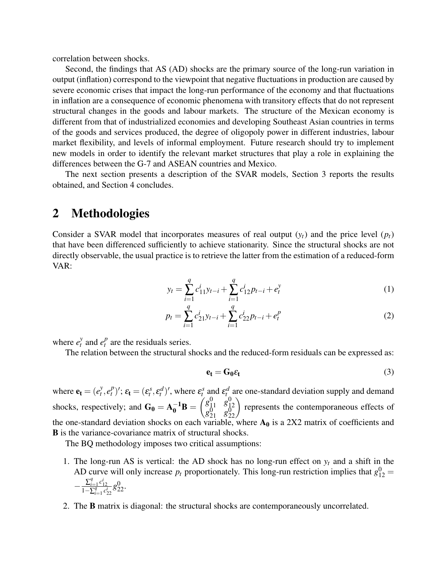correlation between shocks.

Second, the findings that AS (AD) shocks are the primary source of the long-run variation in output (inflation) correspond to the viewpoint that negative fluctuations in production are caused by severe economic crises that impact the long-run performance of the economy and that fluctuations in inflation are a consequence of economic phenomena with transitory effects that do not represent structural changes in the goods and labour markets. The structure of the Mexican economy is different from that of industrialized economies and developing Southeast Asian countries in terms of the goods and services produced, the degree of oligopoly power in different industries, labour market flexibility, and levels of informal employment. Future research should try to implement new models in order to identify the relevant market structures that play a role in explaining the differences between the G-7 and ASEAN countries and Mexico.

The next section presents a description of the SVAR models, Section 3 reports the results obtained, and Section 4 concludes.

#### 2 Methodologies

Consider a SVAR model that incorporates measures of real output  $(y_t)$  and the price level  $(p_t)$ that have been differenced sufficiently to achieve stationarity. Since the structural shocks are not directly observable, the usual practice is to retrieve the latter from the estimation of a reduced-form VAR:

$$
y_t = \sum_{i=1}^q c_{11}^i y_{t-i} + \sum_{i=1}^q c_{12}^i p_{t-i} + e_t^y
$$
 (1)

$$
p_t = \sum_{i=1}^q c_{21}^i y_{t-i} + \sum_{i=1}^q c_{22}^i p_{t-i} + e_t^p
$$
 (2)

where  $e_t^y$  $\int_t^y$  and  $e_t^p$  $t<sup>p</sup>$  are the residuals series.

The relation between the structural shocks and the reduced-form residuals can be expressed as:

$$
\mathbf{e}_{t} = \mathbf{G}_{0}\varepsilon_{t} \tag{3}
$$

where  $\mathbf{e}_t = (e_t^y)$  $\frac{y}{t}$ ,  $e_t^p$  $f_t^p$ )';  $\varepsilon_t = (\varepsilon_t^s, \varepsilon_t^d)'$ , where  $\varepsilon_t^s$  and  $\varepsilon_t^d$  are one-standard deviation supply and demand shocks, respectively; and  $G_0 = A_0^{-1}B = \begin{pmatrix} g_{11}^0 & g_{12}^0 \\ g_{21}^0 & g_{22}^0 \end{pmatrix}$ 12  $g_{21}^{\bar 0}$   $g_{2}^{\bar 0}$  $\begin{pmatrix} 0 \\ 0 \\ 22 \end{pmatrix}$  represents the contemporaneous effects of the one-standard deviation shocks on each variable, where  $A_0$  is a 2X2 matrix of coefficients and B is the variance-covariance matrix of structural shocks.

The BQ methodology imposes two critical assumptions:

- 1. The long-run AS is vertical: the AD shock has no long-run effect on  $y_t$  and a shift in the AD curve will only increase  $p_t$  proportionately. This long-run restriction implies that  $g_{12}^0$  =  $-\frac{\sum_{i=1}^{q}c_{12}^{i}}{1-\sum_{i=1}^{q}c_{22}^{i}}g_{22}^{0}.$
- 2. The B matrix is diagonal: the structural shocks are contemporaneously uncorrelated.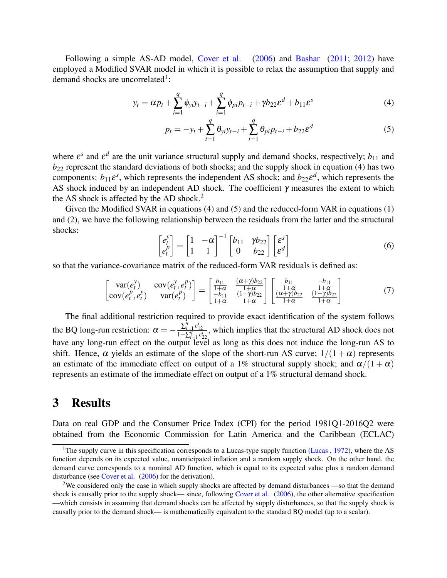Following a simple AS-AD model, [Cover et al.](#page-9-1) [\(2006\)](#page-9-1) and [Bashar](#page-9-2) [\(2011;](#page-9-2) [2012\)](#page-9-3) have employed a Modified SVAR model in which it is possible to relax the assumption that supply and demand shocks are uncorrelated<sup>[1](#page-1-0)</sup>:

$$
y_t = \alpha p_t + \sum_{i=1}^q \phi_{yi} y_{t-i} + \sum_{i=1}^q \phi_{pi} p_{t-i} + \gamma b_{22} \varepsilon^d + b_{11} \varepsilon^s
$$
 (4)

$$
p_t = -y_t + \sum_{i=1}^q \theta_{yi} y_{t-i} + \sum_{i=1}^q \theta_{pi} p_{t-i} + b_{22} \varepsilon^d
$$
 (5)

where  $\varepsilon^s$  and  $\varepsilon^d$  are the unit variance structural supply and demand shocks, respectively;  $b_{11}$  and  $b_{22}$  represent the standard deviations of both shocks; and the supply shock in equation (4) has two components:  $b_{11} \varepsilon^s$ , which represents the independent AS shock; and  $b_{22} \varepsilon^d$ , which represents the AS shock induced by an independent AD shock. The coefficient  $\gamma$  measures the extent to which the AS shock is affected by the AD shock.<sup>[2](#page-1-0)</sup>

Given the Modified SVAR in equations (4) and (5) and the reduced-form VAR in equations (1) and (2), we have the following relationship between the residuals from the latter and the structural shocks:

$$
\begin{bmatrix} e_t^y \\ e_t^p \end{bmatrix} = \begin{bmatrix} 1 & -\alpha \\ 1 & 1 \end{bmatrix}^{-1} \begin{bmatrix} b_{11} & \gamma b_{22} \\ 0 & b_{22} \end{bmatrix} \begin{bmatrix} \varepsilon^s \\ \varepsilon^d \end{bmatrix}
$$
 (6)

so that the variance-covariance matrix of the reduced-form VAR residuals is defined as:

$$
\begin{bmatrix}\n\text{var}(e_t^y) & \text{cov}(e_t^y, e_t^p) \\
\text{cov}(e_t^p, e_t^y) & \text{var}(e_t^p)\n\end{bmatrix} = \begin{bmatrix}\n\frac{b_{11}}{1+\alpha} & \frac{(\alpha+\gamma)b_{22}}{1+\alpha} \\
\frac{-b_{11}}{1+\alpha} & \frac{(1-\gamma)b_{22}}{1+\alpha}\n\end{bmatrix} \begin{bmatrix}\n\frac{b_{11}}{1+\alpha} & \frac{-b_{11}}{1+\alpha} \\
\frac{(\alpha+\gamma)b_{22}}{1+\alpha} & \frac{(1-\gamma)b_{22}}{1+\alpha}\n\end{bmatrix}
$$
\n(7)

The final additional restriction required to provide exact identification of the system follows the BQ long-run restriction:  $\alpha = -\frac{\sum_{i=1}^{q} c_{12}^i}{1 - \sum_{i=1}^{q} c_{22}^i}$ , which implies that the structural AD shock does not have any long-run effect on the output level as long as this does not induce the long-run AS to shift. Hence,  $\alpha$  yields an estimate of the slope of the short-run AS curve;  $1/(1 + \alpha)$  represents an estimate of the immediate effect on output of a 1% structural supply shock; and  $\alpha/(1+\alpha)$ represents an estimate of the immediate effect on output of a 1% structural demand shock.

#### 3 Results

Data on real GDP and the Consumer Price Index (CPI) for the period 1981Q1-2016Q2 were obtained from the Economic Commission for Latin America and the Caribbean (ECLAC)

<sup>&</sup>lt;sup>1</sup>The supply curve in this specification corresponds to a Lucas-type supply function [\(Lucas](#page-9-8) ,  $1972$ ), where the AS function depends on its expected value, unanticipated inflation and a random supply shock. On the other hand, the demand curve corresponds to a nominal AD function, which is equal to its expected value plus a random demand disturbance (see [Cover et al.](#page-9-1) [\(2006\)](#page-9-1) for the derivation).

<sup>&</sup>lt;sup>2</sup>We considered only the case in which supply shocks are affected by demand disturbances —so that the demand shock is causally prior to the supply shock— since, following [Cover et al.](#page-9-1) [\(2006\)](#page-9-1), the other alternative specification —which consists in assuming that demand shocks can be affected by supply disturbances, so that the supply shock is causally prior to the demand shock— is mathematically equivalent to the standard BQ model (up to a scalar).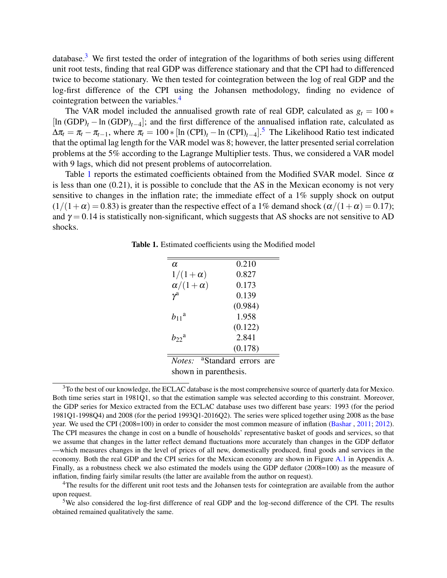database.<sup>[3](#page-1-0)</sup> We first tested the order of integration of the logarithms of both series using different unit root tests, finding that real GDP was difference stationary and that the CPI had to differenced twice to become stationary. We then tested for cointegration between the log of real GDP and the log-first difference of the CPI using the Johansen methodology, finding no evidence of cointegration between the variables.<sup>[4](#page-1-0)</sup>

The VAR model included the annualised growth rate of real GDP, calculated as  $g_t = 100$   $*$ [ln (GDP)<sub>t</sub> − ln (GDP)<sub>t−4</sub>]; and the first difference of the annualised inflation rate, calculated as  $\Delta \pi_t = \pi_t - \pi_{t-1}$ , where  $\pi_t = 100 * [\ln (\text{CPI})_t - \ln (\text{CPI})_{t-4}]$ .<sup>[5](#page-1-0)</sup> The Likelihood Ratio test indicated that the optimal lag length for the VAR model was 8; however, the latter presented serial correlation problems at the 5% according to the Lagrange Multiplier tests. Thus, we considered a VAR model with 9 lags, which did not present problems of autocorrelation.

Table [1](#page-4-0) reports the estimated coefficients obtained from the Modified SVAR model. Since  $\alpha$ is less than one (0.21), it is possible to conclude that the AS in the Mexican economy is not very sensitive to changes in the inflation rate; the immediate effect of a  $1\%$  supply shock on output  $(1/(1+\alpha) = 0.83)$  is greater than the respective effect of a 1% demand shock  $(\alpha/(1+\alpha) = 0.17)$ ; and  $\gamma = 0.14$  is statistically non-significant, which suggests that AS shocks are not sensitive to AD shocks.

<span id="page-4-0"></span>Table 1. Estimated coefficients using the Modified model

| α                     | 0.210                            |
|-----------------------|----------------------------------|
| $1/(1+\alpha)$        | 0.827                            |
| $\alpha/(1+\alpha)$   | 0.173                            |
| $\gamma^{\rm a}$      | 0.139                            |
|                       | (0.984)                          |
| $b_{11}$ <sup>a</sup> | 1.958                            |
|                       | (0.122)                          |
| $b_{22}$ <sup>a</sup> | 2.841                            |
|                       | (0.178)                          |
| Note:                 | <sup>a</sup> Standard errors are |

shown in parenthesis.

<sup>5</sup>We also considered the log-first difference of real GDP and the log-second difference of the CPI. The results obtained remained qualitatively the same.

 $3$ To the best of our knowledge, the ECLAC database is the most comprehensive source of quarterly data for Mexico. Both time series start in 1981Q1, so that the estimation sample was selected according to this constraint. Moreover, the GDP series for Mexico extracted from the ECLAC database uses two different base years: 1993 (for the period 1981Q1-1998Q4) and 2008 (for the period 1993Q1-2016Q2). The series were spliced together using 2008 as the base year. We used the CPI (2008=100) in order to consider the most common measure of inflation [\(Bashar](#page-9-2) , [2011;](#page-9-2) [2012\)](#page-9-3). The CPI measures the change in cost on a bundle of households' representative basket of goods and services, so that we assume that changes in the latter reflect demand fluctuations more accurately than changes in the GDP deflator —which measures changes in the level of prices of all new, domestically produced, final goods and services in the economy. Both the real GDP and the CPI series for the Mexican economy are shown in Figure [A.1](#page-10-0) in Appendix A. Finally, as a robustness check we also estimated the models using the GDP deflator (2008=100) as the measure of inflation, finding fairly similar results (the latter are available from the author on request).

<sup>4</sup>The results for the different unit root tests and the Johansen tests for cointegration are available from the author upon request.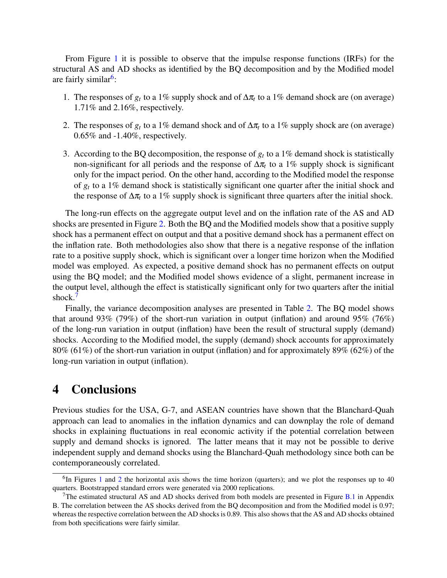From Figure [1](#page-6-0) it is possible to observe that the impulse response functions (IRFs) for the structural AS and AD shocks as identified by the BQ decomposition and by the Modified model are fairly similar<sup>[6](#page-1-0)</sup>:

- 1. The responses of  $g_t$  to a 1% supply shock and of  $\Delta \pi_t$  to a 1% demand shock are (on average) 1.71% and 2.16%, respectively.
- 2. The responses of  $g_t$  to a 1% demand shock and of  $\Delta \pi_t$  to a 1% supply shock are (on average) 0.65% and -1.40%, respectively.
- 3. According to the BQ decomposition, the response of  $g_t$  to a 1% demand shock is statistically non-significant for all periods and the response of  $\Delta \pi_t$  to a 1% supply shock is significant only for the impact period. On the other hand, according to the Modified model the response of *g<sup>t</sup>* to a 1% demand shock is statistically significant one quarter after the initial shock and the response of  $\Delta \pi_t$  to a 1% supply shock is significant three quarters after the initial shock.

The long-run effects on the aggregate output level and on the inflation rate of the AS and AD shocks are presented in Figure [2.](#page-7-0) Both the BQ and the Modified models show that a positive supply shock has a permanent effect on output and that a positive demand shock has a permanent effect on the inflation rate. Both methodologies also show that there is a negative response of the inflation rate to a positive supply shock, which is significant over a longer time horizon when the Modified model was employed. As expected, a positive demand shock has no permanent effects on output using the BQ model; and the Modified model shows evidence of a slight, permanent increase in the output level, although the effect is statistically significant only for two quarters after the initial shock.<sup>[7](#page-1-0)</sup>

Finally, the variance decomposition analyses are presented in Table [2.](#page-8-0) The BQ model shows that around 93% (79%) of the short-run variation in output (inflation) and around 95% (76%) of the long-run variation in output (inflation) have been the result of structural supply (demand) shocks. According to the Modified model, the supply (demand) shock accounts for approximately 80% (61%) of the short-run variation in output (inflation) and for approximately 89% (62%) of the long-run variation in output (inflation).

#### 4 Conclusions

Previous studies for the USA, G-7, and ASEAN countries have shown that the Blanchard-Quah approach can lead to anomalies in the inflation dynamics and can downplay the role of demand shocks in explaining fluctuations in real economic activity if the potential correlation between supply and demand shocks is ignored. The latter means that it may not be possible to derive independent supply and demand shocks using the Blanchard-Quah methodology since both can be contemporaneously correlated.

 ${}^{6}$ In Figures [1](#page-6-0) and [2](#page-7-0) the horizontal axis shows the time horizon (quarters); and we plot the responses up to 40 quarters. Bootstrapped standard errors were generated via 2000 replications.

<sup>&</sup>lt;sup>7</sup>The estimated structural AS and AD shocks derived from both models are presented in Figure [B.1](#page-11-0) in Appendix B. The correlation between the AS shocks derived from the BQ decomposition and from the Modified model is 0.97; whereas the respective correlation between the AD shocks is 0.89. This also shows that the AS and AD shocks obtained from both specifications were fairly similar.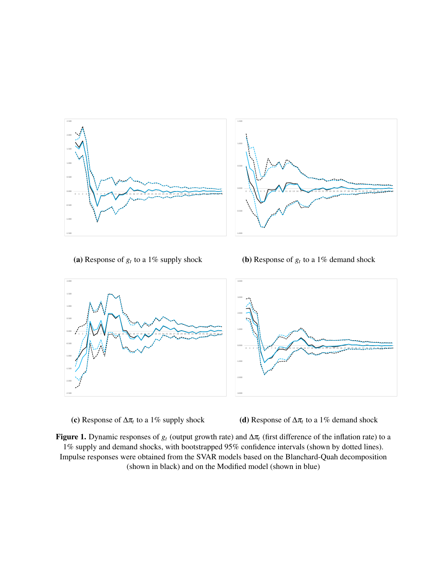<span id="page-6-0"></span>

(a) Response of  $g_t$  to a 1% supply shock

**(b)** Response of  $g_t$  to a 1% demand shock





(d) Response of  $\Delta \pi_t$  to a 1% demand shock

Figure 1. Dynamic responses of  $g_t$  (output growth rate) and  $\Delta \pi_t$  (first difference of the inflation rate) to a 1% supply and demand shocks, with bootstrapped 95% confidence intervals (shown by dotted lines). Impulse responses were obtained from the SVAR models based on the Blanchard-Quah decomposition (shown in black) and on the Modified model (shown in blue)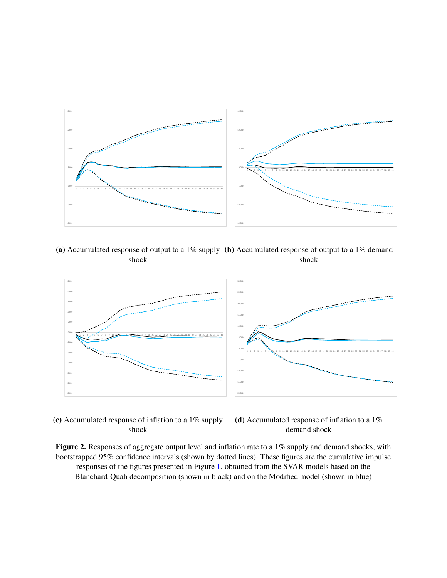<span id="page-7-0"></span>

(a) Accumulated response of output to a 1% supply (b) Accumulated response of output to a 1% demand shock shock



(c) Accumulated response of inflation to a 1% supply shock



Figure 2. Responses of aggregate output level and inflation rate to a 1% supply and demand shocks, with bootstrapped 95% confidence intervals (shown by dotted lines). These figures are the cumulative impulse responses of the figures presented in Figure [1,](#page-6-0) obtained from the SVAR models based on the Blanchard-Quah decomposition (shown in black) and on the Modified model (shown in blue)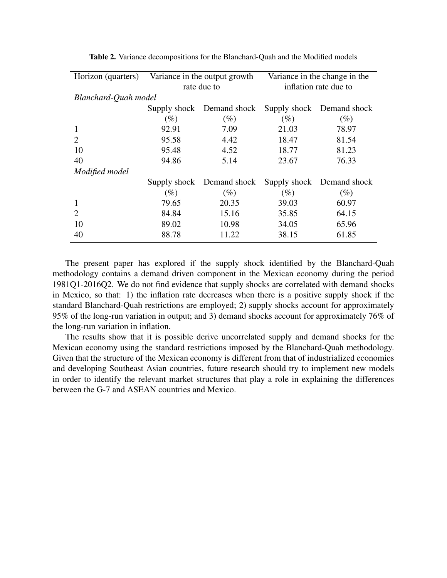<span id="page-8-0"></span>

| Horizon (quarters)   | Variance in the output growth |                           | Variance in the change in the |                           |  |
|----------------------|-------------------------------|---------------------------|-------------------------------|---------------------------|--|
|                      | rate due to                   |                           | inflation rate due to         |                           |  |
| Blanchard-Quah model |                               |                           |                               |                           |  |
|                      |                               | Supply shock Demand shock |                               | Supply shock Demand shock |  |
|                      | $(\%)$                        | $(\%)$                    | $(\%)$                        | $(\%)$                    |  |
| 1                    | 92.91                         | 7.09                      | 21.03                         | 78.97                     |  |
| $\mathcal{D}$        | 95.58                         | 4.42                      | 18.47                         | 81.54                     |  |
| 10                   | 95.48                         | 4.52                      | 18.77                         | 81.23                     |  |
| 40                   | 94.86                         | 5.14                      | 23.67                         | 76.33                     |  |
| Modified model       |                               |                           |                               |                           |  |
|                      | Supply shock                  | Demand shock              |                               | Supply shock Demand shock |  |
|                      | $(\%)$                        | (%)                       | (%)                           | $(\%)$                    |  |
| 1                    | 79.65                         | 20.35                     | 39.03                         | 60.97                     |  |
| $\overline{2}$       | 84.84                         | 15.16                     | 35.85                         | 64.15                     |  |
| 10                   | 89.02                         | 10.98                     | 34.05                         | 65.96                     |  |
| 40                   | 88.78                         | 11.22                     | 38.15                         | 61.85                     |  |

Table 2. Variance decompositions for the Blanchard-Quah and the Modified models

The present paper has explored if the supply shock identified by the Blanchard-Quah methodology contains a demand driven component in the Mexican economy during the period 1981Q1-2016Q2. We do not find evidence that supply shocks are correlated with demand shocks in Mexico, so that: 1) the inflation rate decreases when there is a positive supply shock if the standard Blanchard-Quah restrictions are employed; 2) supply shocks account for approximately 95% of the long-run variation in output; and 3) demand shocks account for approximately 76% of the long-run variation in inflation.

The results show that it is possible derive uncorrelated supply and demand shocks for the Mexican economy using the standard restrictions imposed by the Blanchard-Quah methodology. Given that the structure of the Mexican economy is different from that of industrialized economies and developing Southeast Asian countries, future research should try to implement new models in order to identify the relevant market structures that play a role in explaining the differences between the G-7 and ASEAN countries and Mexico.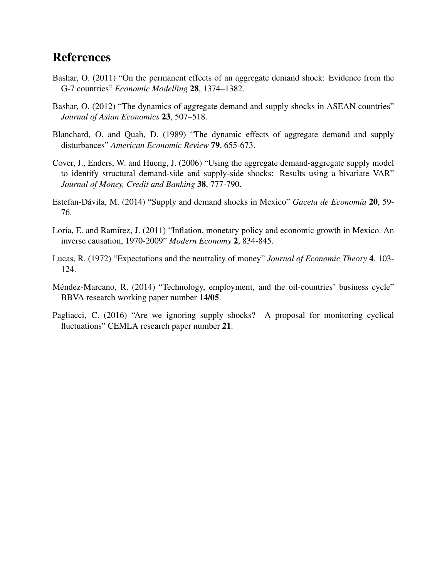#### References

- <span id="page-9-2"></span>Bashar, O. (2011) "On the permanent effects of an aggregate demand shock: Evidence from the G-7 countries" *Economic Modelling* 28, 1374–1382.
- <span id="page-9-3"></span>Bashar, O. (2012) "The dynamics of aggregate demand and supply shocks in ASEAN countries" *Journal of Asian Economics* 23, 507–518.
- <span id="page-9-0"></span>Blanchard, O. and Quah, D. (1989) "The dynamic effects of aggregate demand and supply disturbances" *American Economic Review* 79, 655-673.
- <span id="page-9-1"></span>Cover, J., Enders, W. and Hueng, J. (2006) "Using the aggregate demand-aggregate supply model to identify structural demand-side and supply-side shocks: Results using a bivariate VAR" *Journal of Money, Credit and Banking* 38, 777-790.
- <span id="page-9-4"></span>Estefan-Dávila, M. (2014) "Supply and demand shocks in Mexico" *Gaceta de Economía* 20, 59-76.
- <span id="page-9-5"></span>Loría, E. and Ramírez, J. (2011) "Inflation, monetary policy and economic growth in Mexico. An inverse causation, 1970-2009" *Modern Economy* 2, 834-845.
- <span id="page-9-8"></span>Lucas, R. (1972) "Expectations and the neutrality of money" *Journal of Economic Theory* 4, 103- 124.
- <span id="page-9-6"></span>Méndez-Marcano, R. (2014) "Technology, employment, and the oil-countries' business cycle" BBVA research working paper number 14/05.
- <span id="page-9-7"></span>Pagliacci, C. (2016) "Are we ignoring supply shocks? A proposal for monitoring cyclical fluctuations" CEMLA research paper number 21.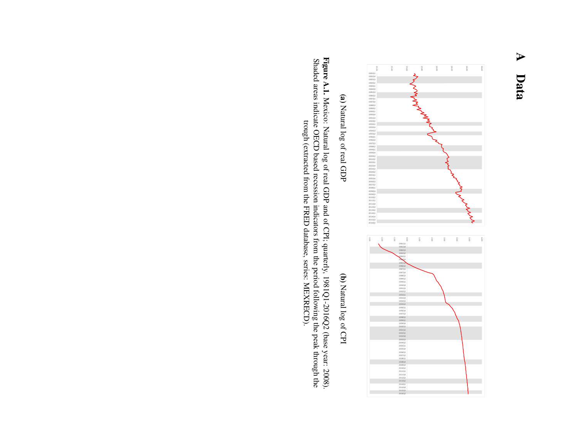# <span id="page-10-0"></span> $\blacktriangleright$ Data



(a) Natural log of real GDP Natural log of real GDP

(b) Natural log of CPI Natural log of CPI

Figure A.I. Mexico: Natural log of real GDP and of CPI; quarterly, 1981Q1-2016Q2 (base year: 2008).<br>Shaded areas indicate OECD based recession indicators from the period following the peak through the Figure A.1. Shaded areas indicate OECD based recession indicators from the period following the peak through the Mexico: Natural log of real GDP and of CPI; quarterly, 1981Q1-2016Q2 (base year: 2008). trough (extracted from the FRED database, series: MEXRECD). trough (extracted from the FRED database, series: MEXRECD).